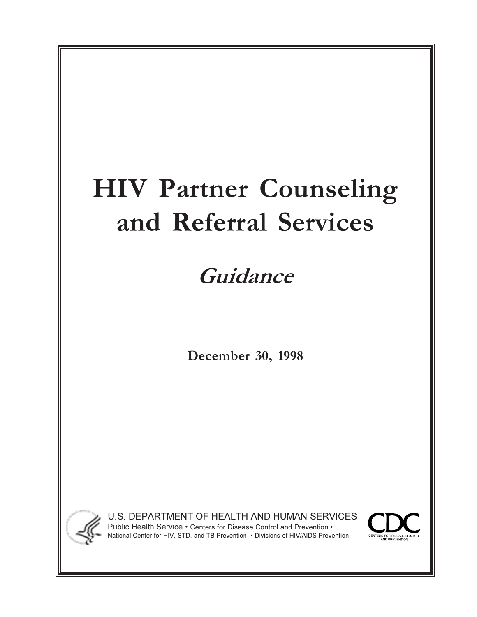# **HIV Partner Counseling and Referral Services**

## **Guidance**

**December 30, 1998**



U.S. DEPARTMENT OF HEALTH AND HUMAN SERVICES Public Health Service • Centers for Disease Control and Prevention • National Center for HIV, STD, and TB Prevention . Divisions of HIV/AIDS Prevention

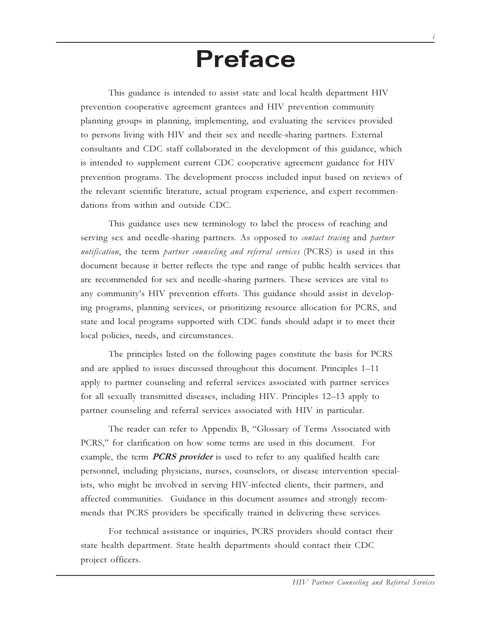## **Preface**

This guidance is intended to assist state and local health department HIV prevention cooperative agreement grantees and HIV prevention community planning groups in planning, implementing, and evaluating the services provided to persons living with HIV and their sex and needle-sharing partners. External consultants and CDC staff collaborated in the development of this guidance, which is intended to supplement current CDC cooperative agreement guidance for HIV prevention programs. The development process included input based on reviews of the relevant scientific literature, actual program experience, and expert recommendations from within and outside CDC.

This guidance uses new terminology to label the process of reaching and serving sex and needle-sharing partners. As opposed to *contact tracing* and *partner notification*, the term *partner counseling and referral services* (PCRS) is used in this document because it better reflects the type and range of public health services that are recommended for sex and needle-sharing partners. These services are vital to any communitys HIV prevention efforts. This guidance should assist in developing programs, planning services, or prioritizing resource allocation for PCRS, and state and local programs supported with CDC funds should adapt it to meet their local policies, needs, and circumstances.

The principles listed on the following pages constitute the basis for PCRS and are applied to issues discussed throughout this document. Principles 1–11 apply to partner counseling and referral services associated with partner services for all sexually transmitted diseases, including HIV. Principles 12–13 apply to partner counseling and referral services associated with HIV in particular.

The reader can refer to Appendix B, "Glossary of Terms Associated with PCRS," for clarification on how some terms are used in this document. For example, the term **PCRS provider** is used to refer to any qualified health care personnel, including physicians, nurses, counselors, or disease intervention specialists, who might be involved in serving HIV-infected clients, their partners, and affected communities. Guidance in this document assumes and strongly recommends that PCRS providers be specifically trained in delivering these services.

For technical assistance or inquiries, PCRS providers should contact their state health department. State health departments should contact their CDC project officers.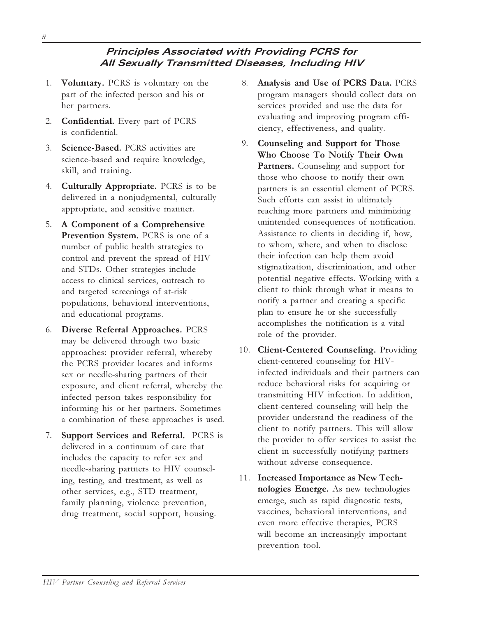#### **Principles Associated with Providing PCRS for All Sexually Transmitted Diseases, Including HIV**

- 1. **Voluntary.** PCRS is voluntary on the part of the infected person and his or her partners.
- 2. **Confidential.** Every part of PCRS is confidential.
- 3. **Science-Based.** PCRS activities are science-based and require knowledge, skill, and training.
- 4. **Culturally Appropriate.** PCRS is to be delivered in a nonjudgmental, culturally appropriate, and sensitive manner.
- 5. **A Component of a Comprehensive Prevention System.** PCRS is one of a number of public health strategies to control and prevent the spread of HIV and STDs. Other strategies include access to clinical services, outreach to and targeted screenings of at-risk populations, behavioral interventions, and educational programs.
- 6. **Diverse Referral Approaches.** PCRS may be delivered through two basic approaches: provider referral, whereby the PCRS provider locates and informs sex or needle-sharing partners of their exposure, and client referral, whereby the infected person takes responsibility for informing his or her partners. Sometimes a combination of these approaches is used.
- 7. **Support Services and Referral.** PCRS is delivered in a continuum of care that includes the capacity to refer sex and needle-sharing partners to HIV counseling, testing, and treatment, as well as other services, e.g., STD treatment, family planning, violence prevention, drug treatment, social support, housing.
- 8. **Analysis and Use of PCRS Data.** PCRS program managers should collect data on services provided and use the data for evaluating and improving program efficiency, effectiveness, and quality.
- 9. **Counseling and Support for Those Who Choose To Notify Their Own Partners.** Counseling and support for those who choose to notify their own partners is an essential element of PCRS. Such efforts can assist in ultimately reaching more partners and minimizing unintended consequences of notification. Assistance to clients in deciding if, how, to whom, where, and when to disclose their infection can help them avoid stigmatization, discrimination, and other potential negative effects. Working with a client to think through what it means to notify a partner and creating a specific plan to ensure he or she successfully accomplishes the notification is a vital role of the provider.
- 10. **Client-Centered Counseling.** Providing client-centered counseling for HIVinfected individuals and their partners can reduce behavioral risks for acquiring or transmitting HIV infection. In addition, client-centered counseling will help the provider understand the readiness of the client to notify partners. This will allow the provider to offer services to assist the client in successfully notifying partners without adverse consequence.
- 11. **Increased Importance as New Technologies Emerge.** As new technologies emerge, such as rapid diagnostic tests, vaccines, behavioral interventions, and even more effective therapies, PCRS will become an increasingly important prevention tool.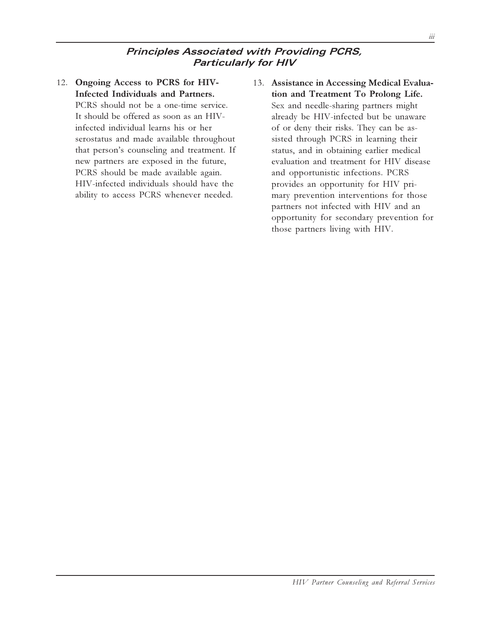#### **Principles Associated with Providing PCRS, Particularly for HIV**

- 12. **Ongoing Access to PCRS for HIV-Infected Individuals and Partners.** PCRS should not be a one-time service. It should be offered as soon as an HIVinfected individual learns his or her serostatus and made available throughout that person's counseling and treatment. If new partners are exposed in the future, PCRS should be made available again. HIV-infected individuals should have the ability to access PCRS whenever needed.
- 13. **Assistance in Accessing Medical Evaluation and Treatment To Prolong Life.** Sex and needle-sharing partners might already be HIV-infected but be unaware of or deny their risks. They can be assisted through PCRS in learning their status, and in obtaining earlier medical evaluation and treatment for HIV disease and opportunistic infections. PCRS provides an opportunity for HIV primary prevention interventions for those partners not infected with HIV and an opportunity for secondary prevention for those partners living with HIV.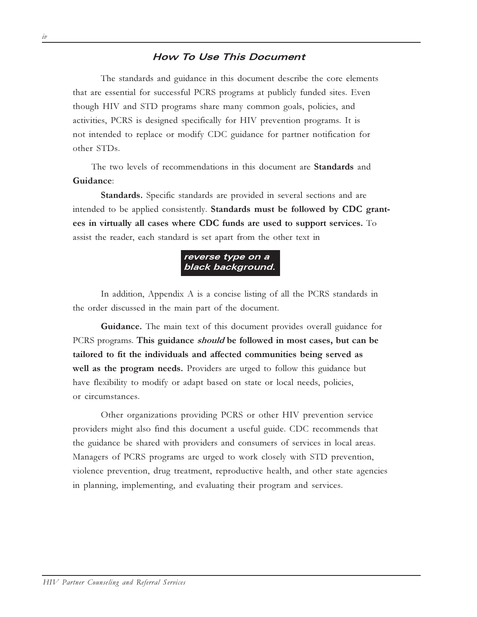#### **How To Use This Document**

The standards and guidance in this document describe the core elements that are essential for successful PCRS programs at publicly funded sites. Even though HIV and STD programs share many common goals, policies, and activities, PCRS is designed specifically for HIV prevention programs. It is not intended to replace or modify CDC guidance for partner notification for other STDs.

The two levels of recommendations in this document are **Standards** and **Guidance**:

**Standards.** Specific standards are provided in several sections and are intended to be applied consistently. **Standards must be followed by CDC grantees in virtually all cases where CDC funds are used to support services.** To assist the reader, each standard is set apart from the other text in



In addition, Appendix A is a concise listing of all the PCRS standards in the order discussed in the main part of the document.

**Guidance.** The main text of this document provides overall guidance for PCRS programs. **This guidance should be followed in most cases, but can be tailored to fit the individuals and affected communities being served as well as the program needs.** Providers are urged to follow this guidance but have flexibility to modify or adapt based on state or local needs, policies, or circumstances.

Other organizations providing PCRS or other HIV prevention service providers might also find this document a useful guide. CDC recommends that the guidance be shared with providers and consumers of services in local areas. Managers of PCRS programs are urged to work closely with STD prevention, violence prevention, drug treatment, reproductive health, and other state agencies in planning, implementing, and evaluating their program and services.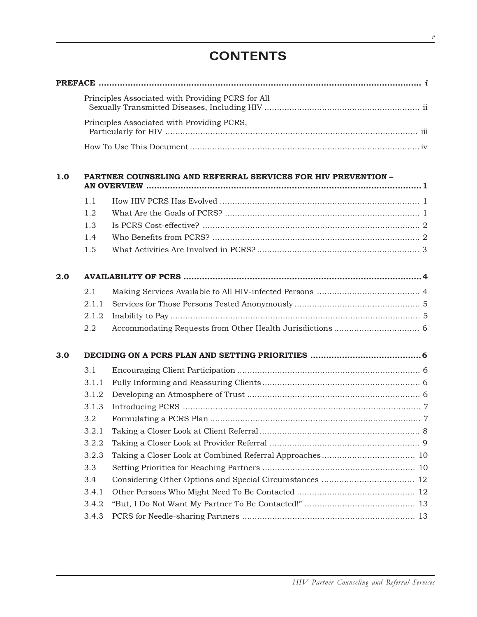## **CONTENTS**

|     | Principles Associated with Providing PCRS for All |                                                               |  |  |  |
|-----|---------------------------------------------------|---------------------------------------------------------------|--|--|--|
|     |                                                   |                                                               |  |  |  |
|     |                                                   | Principles Associated with Providing PCRS,                    |  |  |  |
|     |                                                   |                                                               |  |  |  |
|     |                                                   |                                                               |  |  |  |
| 1.0 |                                                   | PARTNER COUNSELING AND REFERRAL SERVICES FOR HIV PREVENTION - |  |  |  |
|     |                                                   |                                                               |  |  |  |
|     | 1.1                                               |                                                               |  |  |  |
|     | 1.2                                               |                                                               |  |  |  |
|     | 1.3                                               |                                                               |  |  |  |
|     | 1.4                                               |                                                               |  |  |  |
|     | 1.5                                               |                                                               |  |  |  |
| 2.0 |                                                   |                                                               |  |  |  |
|     | 2.1                                               |                                                               |  |  |  |
|     | 2.1.1                                             |                                                               |  |  |  |
|     | 2.1.2                                             |                                                               |  |  |  |
|     | 2.2                                               |                                                               |  |  |  |
| 3.0 |                                                   |                                                               |  |  |  |
|     | 3.1                                               |                                                               |  |  |  |
|     | 3.1.1                                             |                                                               |  |  |  |
|     | 3.1.2                                             |                                                               |  |  |  |
|     | 3.1.3                                             |                                                               |  |  |  |
|     | 3.2                                               |                                                               |  |  |  |
|     | 3.2.1                                             |                                                               |  |  |  |
|     | 3.2.2                                             |                                                               |  |  |  |
|     | 3.2.3                                             |                                                               |  |  |  |
|     | 3.3                                               |                                                               |  |  |  |
|     | 3.4                                               |                                                               |  |  |  |
|     | 3.4.1                                             |                                                               |  |  |  |
|     | 3.4.2                                             |                                                               |  |  |  |
|     | 3.4.3                                             |                                                               |  |  |  |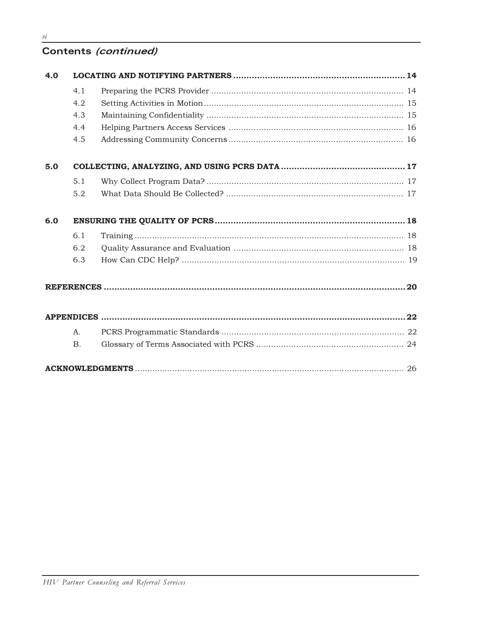## Contents (continued)

| 4.0 |                |  |  |  |  |
|-----|----------------|--|--|--|--|
|     | 4.1            |  |  |  |  |
|     | 4.2            |  |  |  |  |
|     | 4.3            |  |  |  |  |
|     | 4.4            |  |  |  |  |
|     | 4.5            |  |  |  |  |
| 5.0 |                |  |  |  |  |
|     | 5.1            |  |  |  |  |
|     | 5.2            |  |  |  |  |
| 6.0 |                |  |  |  |  |
|     | 6.1            |  |  |  |  |
|     | 6.2            |  |  |  |  |
|     | 6.3            |  |  |  |  |
|     |                |  |  |  |  |
|     |                |  |  |  |  |
|     | A <sub>1</sub> |  |  |  |  |
|     | <b>B.</b>      |  |  |  |  |
|     |                |  |  |  |  |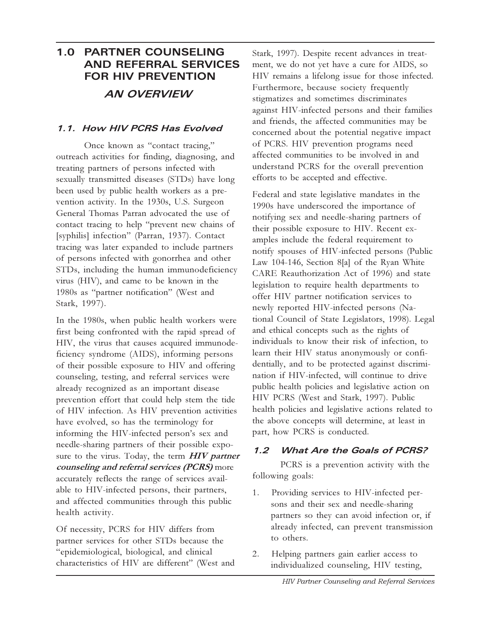## **1.0 PARTNER COUNSELING AND REFERRAL SERVICES FOR HIV PREVENTION AN OVERVIEW**

#### **1.1. How HIV PCRS Has Evolved**

Once known as "contact tracing," outreach activities for finding, diagnosing, and treating partners of persons infected with sexually transmitted diseases (STDs) have long been used by public health workers as a prevention activity. In the 1930s, U.S. Surgeon General Thomas Parran advocated the use of contact tracing to help "prevent new chains of [syphilis] infection" (Parran, 1937). Contact tracing was later expanded to include partners of persons infected with gonorrhea and other STDs, including the human immunodeficiency virus (HIV), and came to be known in the 1980s as "partner notification" (West and Stark, 1997).

In the 1980s, when public health workers were first being confronted with the rapid spread of HIV, the virus that causes acquired immunodeficiency syndrome (AIDS), informing persons of their possible exposure to HIV and offering counseling, testing, and referral services were already recognized as an important disease prevention effort that could help stem the tide of HIV infection. As HIV prevention activities have evolved, so has the terminology for informing the HIV-infected person's sex and needle-sharing partners of their possible exposure to the virus. Today, the term **HIV partner counseling and referral services (PCRS)** more accurately reflects the range of services available to HIV-infected persons, their partners, and affected communities through this public health activity.

Of necessity, PCRS for HIV differs from partner services for other STDs because the epidemiological, biological, and clinical characteristics of HIV are different" (West and Stark, 1997). Despite recent advances in treatment, we do not yet have a cure for AIDS, so HIV remains a lifelong issue for those infected. Furthermore, because society frequently stigmatizes and sometimes discriminates against HIV-infected persons and their families and friends, the affected communities may be concerned about the potential negative impact of PCRS. HIV prevention programs need affected communities to be involved in and understand PCRS for the overall prevention efforts to be accepted and effective.

Federal and state legislative mandates in the 1990s have underscored the importance of notifying sex and needle-sharing partners of their possible exposure to HIV. Recent examples include the federal requirement to notify spouses of HIV-infected persons (Public Law 104-146, Section 8[a] of the Ryan White CARE Reauthorization Act of 1996) and state legislation to require health departments to offer HIV partner notification services to newly reported HIV-infected persons (National Council of State Legislators, 1998). Legal and ethical concepts such as the rights of individuals to know their risk of infection, to learn their HIV status anonymously or confidentially, and to be protected against discrimination if HIV-infected, will continue to drive public health policies and legislative action on HIV PCRS (West and Stark, 1997). Public health policies and legislative actions related to the above concepts will determine, at least in part, how PCRS is conducted.

#### **1.2 What Are the Goals of PCRS?**

PCRS is a prevention activity with the following goals:

- 1. Providing services to HIV-infected persons and their sex and needle-sharing partners so they can avoid infection or, if already infected, can prevent transmission to others.
- 2. Helping partners gain earlier access to individualized counseling, HIV testing,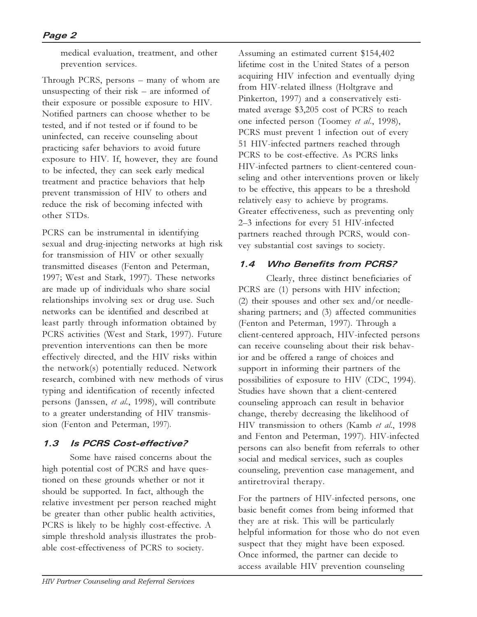medical evaluation, treatment, and other prevention services.

Through PCRS, persons  $-$  many of whom are unsuspecting of their risk  $-$  are informed of their exposure or possible exposure to HIV. Notified partners can choose whether to be tested, and if not tested or if found to be uninfected, can receive counseling about practicing safer behaviors to avoid future exposure to HIV. If, however, they are found to be infected, they can seek early medical treatment and practice behaviors that help prevent transmission of HIV to others and reduce the risk of becoming infected with other STDs.

PCRS can be instrumental in identifying sexual and drug-injecting networks at high risk for transmission of HIV or other sexually transmitted diseases (Fenton and Peterman, 1997; West and Stark, 1997). These networks are made up of individuals who share social relationships involving sex or drug use. Such networks can be identified and described at least partly through information obtained by PCRS activities (West and Stark, 1997). Future prevention interventions can then be more effectively directed, and the HIV risks within the network(s) potentially reduced. Network research, combined with new methods of virus typing and identification of recently infected persons (Janssen, *et al.*, 1998), will contribute to a greater understanding of HIV transmission (Fenton and Peterman, 1997).

#### **1.3 Is PCRS Cost-effective?**

Some have raised concerns about the high potential cost of PCRS and have questioned on these grounds whether or not it should be supported. In fact, although the relative investment per person reached might be greater than other public health activities, PCRS is likely to be highly cost-effective. A simple threshold analysis illustrates the probable cost-effectiveness of PCRS to society.

Assuming an estimated current \$154,402 lifetime cost in the United States of a person acquiring HIV infection and eventually dying from HIV-related illness (Holtgrave and Pinkerton, 1997) and a conservatively estimated average \$3,205 cost of PCRS to reach one infected person (Toomey *et al*., 1998), PCRS must prevent 1 infection out of every 51 HIV-infected partners reached through PCRS to be cost-effective. As PCRS links HIV-infected partners to client-centered counseling and other interventions proven or likely to be effective, this appears to be a threshold relatively easy to achieve by programs. Greater effectiveness, such as preventing only 23 infections for every 51 HIV-infected partners reached through PCRS, would convey substantial cost savings to society.

#### **1.4 Who Benefits from PCRS?**

Clearly, three distinct beneficiaries of PCRS are (1) persons with HIV infection; (2) their spouses and other sex and/or needlesharing partners; and (3) affected communities (Fenton and Peterman, 1997). Through a client-centered approach, HIV-infected persons can receive counseling about their risk behavior and be offered a range of choices and support in informing their partners of the possibilities of exposure to HIV (CDC, 1994). Studies have shown that a client-centered counseling approach can result in behavior change, thereby decreasing the likelihood of HIV transmission to others (Kamb *et al.*, 1998 and Fenton and Peterman, 1997). HIV-infected persons can also benefit from referrals to other social and medical services, such as couples counseling, prevention case management, and antiretroviral therapy.

For the partners of HIV-infected persons, one basic benefit comes from being informed that they are at risk. This will be particularly helpful information for those who do not even suspect that they might have been exposed. Once informed, the partner can decide to access available HIV prevention counseling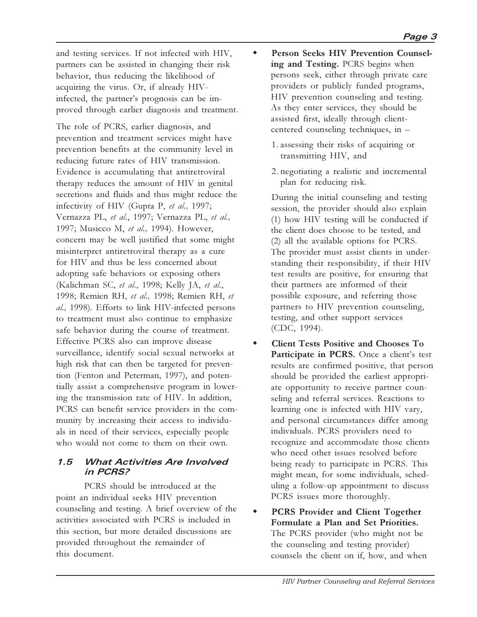and testing services. If not infected with HIV, partners can be assisted in changing their risk behavior, thus reducing the likelihood of acquiring the virus. Or, if already HIVinfected, the partner's prognosis can be improved through earlier diagnosis and treatment.

The role of PCRS, earlier diagnosis, and prevention and treatment services might have prevention benefits at the community level in reducing future rates of HIV transmission. Evidence is accumulating that antiretroviral therapy reduces the amount of HIV in genital secretions and fluids and thus might reduce the infectivity of HIV (Gupta P, *et al.,* 1997; Vernazza PL, *et al.*, 1997; Vernazza PL, *et al.,* 1997; Musicco M, *et al.,* 1994). However, concern may be well justified that some might misinterpret antiretroviral therapy as a cure for HIV and thus be less concerned about adopting safe behaviors or exposing others (Kalichman SC, *et al.*, 1998; Kelly JA, *et al.*, 1998; Remien RH, *et al.,* 1998; Remien RH, *et al.,* 1998). Efforts to link HIV-infected persons to treatment must also continue to emphasize safe behavior during the course of treatment. Effective PCRS also can improve disease surveillance, identify social sexual networks at high risk that can then be targeted for prevention (Fenton and Peterman, 1997), and potentially assist a comprehensive program in lowering the transmission rate of HIV. In addition, PCRS can benefit service providers in the community by increasing their access to individuals in need of their services, especially people who would not come to them on their own.

#### **1.5 What Activities Are Involved in PCRS?**

PCRS should be introduced at the point an individual seeks HIV prevention counseling and testing. A brief overview of the activities associated with PCRS is included in this section, but more detailed discussions are provided throughout the remainder of this document.

- **Person Seeks HIV Prevention Counseling and Testing.** PCRS begins when persons seek, either through private care providers or publicly funded programs, HIV prevention counseling and testing. As they enter services, they should be assisted first, ideally through clientcentered counseling techniques, in
	- 1. assessing their risks of acquiring or transmitting HIV, and
	- 2. negotiating a realistic and incremental plan for reducing risk.

During the initial counseling and testing session, the provider should also explain (1) how HIV testing will be conducted if the client does choose to be tested, and (2) all the available options for PCRS. The provider must assist clients in understanding their responsibility, if their HIV test results are positive, for ensuring that their partners are informed of their possible exposure, and referring those partners to HIV prevention counseling, testing, and other support services (CDC, 1994).

- **Client Tests Positive and Chooses To Participate in PCRS.** Once a client's test results are confirmed positive, that person should be provided the earliest appropriate opportunity to receive partner counseling and referral services. Reactions to learning one is infected with HIV vary, and personal circumstances differ among individuals. PCRS providers need to recognize and accommodate those clients who need other issues resolved before being ready to participate in PCRS. This might mean, for some individuals, scheduling a follow-up appointment to discuss PCRS issues more thoroughly.
- **PCRS Provider and Client Together Formulate a Plan and Set Priorities.** The PCRS provider (who might not be the counseling and testing provider) counsels the client on if, how, and when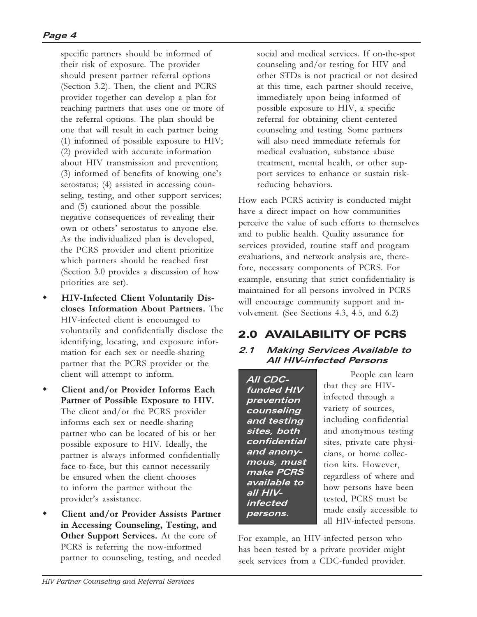specific partners should be informed of their risk of exposure. The provider should present partner referral options (Section 3.2). Then, the client and PCRS provider together can develop a plan for reaching partners that uses one or more of the referral options. The plan should be one that will result in each partner being (1) informed of possible exposure to HIV; (2) provided with accurate information about HIV transmission and prevention;  $(3)$  informed of benefits of knowing one's serostatus; (4) assisted in accessing counseling, testing, and other support services; and (5) cautioned about the possible negative consequences of revealing their own or others' serostatus to anyone else. As the individualized plan is developed, the PCRS provider and client prioritize which partners should be reached first (Section 3.0 provides a discussion of how priorities are set).

- **HIV-Infected Client Voluntarily Discloses Information About Partners.** The HIV-infected client is encouraged to voluntarily and confidentially disclose the identifying, locating, and exposure information for each sex or needle-sharing partner that the PCRS provider or the client will attempt to inform.
- **Client and/or Provider Informs Each Partner of Possible Exposure to HIV.** The client and/or the PCRS provider informs each sex or needle-sharing partner who can be located of his or her possible exposure to HIV. Ideally, the partner is always informed confidentially face-to-face, but this cannot necessarily be ensured when the client chooses to inform the partner without the provider's assistance.
- **Client and/or Provider Assists Partner in Accessing Counseling, Testing, and Other Support Services.** At the core of PCRS is referring the now-informed partner to counseling, testing, and needed

social and medical services. If on-the-spot counseling and/or testing for HIV and other STDs is not practical or not desired at this time, each partner should receive, immediately upon being informed of possible exposure to HIV, a specific referral for obtaining client-centered counseling and testing. Some partners will also need immediate referrals for medical evaluation, substance abuse treatment, mental health, or other support services to enhance or sustain riskreducing behaviors.

How each PCRS activity is conducted might have a direct impact on how communities perceive the value of such efforts to themselves and to public health. Quality assurance for services provided, routine staff and program evaluations, and network analysis are, therefore, necessary components of PCRS. For example, ensuring that strict confidentiality is maintained for all persons involved in PCRS will encourage community support and involvement. (See Sections 4.3, 4.5, and 6.2)

## 2.0 AVAILABILITY OF PCRS

#### **2.1 Making Services Available to All HIV-infected Persons**

**All CDCfunded HIV prevention counseling and testing sites, both confidential and anonymous, must make PCRS available to all HIVinfected persons.**

People can learn that they are HIVinfected through a variety of sources, including confidential and anonymous testing sites, private care physicians, or home collection kits. However, regardless of where and how persons have been tested, PCRS must be made easily accessible to all HIV-infected persons.

For example, an HIV-infected person who has been tested by a private provider might seek services from a CDC-funded provider.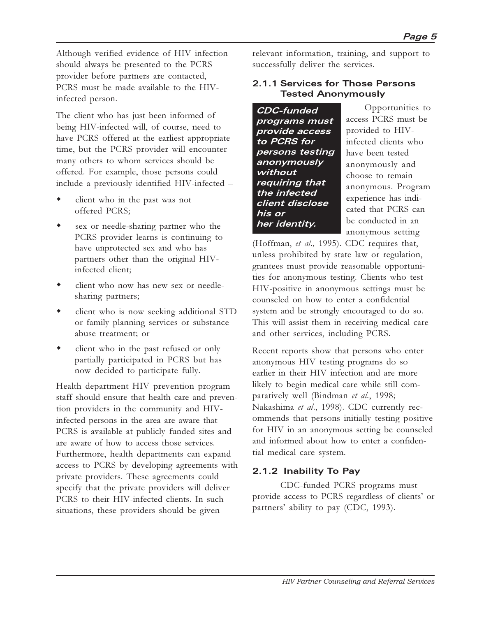Although verified evidence of HIV infection should always be presented to the PCRS provider before partners are contacted, PCRS must be made available to the HIVinfected person.

The client who has just been informed of being HIV-infected will, of course, need to have PCRS offered at the earliest appropriate time, but the PCRS provider will encounter many others to whom services should be offered. For example, those persons could include a previously identified HIV-infected

- client who in the past was not offered PCRS;
- sex or needle-sharing partner who the PCRS provider learns is continuing to have unprotected sex and who has partners other than the original HIVinfected client;
- client who now has new sex or needlesharing partners;
- client who is now seeking additional STD or family planning services or substance abuse treatment; or
- $\bullet$  client who in the past refused or only partially participated in PCRS but has now decided to participate fully.

Health department HIV prevention program staff should ensure that health care and prevention providers in the community and HIVinfected persons in the area are aware that PCRS is available at publicly funded sites and are aware of how to access those services. Furthermore, health departments can expand access to PCRS by developing agreements with private providers. These agreements could specify that the private providers will deliver PCRS to their HIV-infected clients. In such situations, these providers should be given

relevant information, training, and support to successfully deliver the services.

#### **2.1.1 Services for Those Persons Tested Anonymously**

**CDC-funded programs must provide access to PCRS for persons testing anonymously without requiring that the infected client disclose his or her identity.**

Opportunities to access PCRS must be provided to HIVinfected clients who have been tested anonymously and choose to remain anonymous. Program experience has indicated that PCRS can be conducted in an anonymous setting

(Hoffman, *et al.,* 1995). CDC requires that, unless prohibited by state law or regulation, grantees must provide reasonable opportunities for anonymous testing. Clients who test HIV-positive in anonymous settings must be counseled on how to enter a confidential system and be strongly encouraged to do so. This will assist them in receiving medical care and other services, including PCRS.

Recent reports show that persons who enter anonymous HIV testing programs do so earlier in their HIV infection and are more likely to begin medical care while still comparatively well (Bindman *et al*., 1998; Nakashima *et al*., 1998). CDC currently recommends that persons initially testing positive for HIV in an anonymous setting be counseled and informed about how to enter a confidential medical care system.

#### **2.1.2 Inability To Pay**

CDC-funded PCRS programs must provide access to PCRS regardless of clients' or partners' ability to pay (CDC, 1993).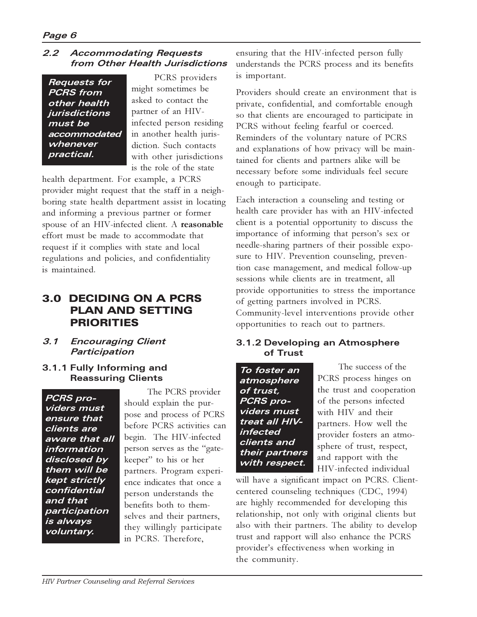#### **2.2 Accommodating Requests from Other Health Jurisdictions**

**Requests for PCRS from other health jurisdictions must be accommodated whenever practical.**

PCRS providers might sometimes be asked to contact the partner of an HIVinfected person residing in another health jurisdiction. Such contacts with other jurisdictions is the role of the state

health department. For example, a PCRS provider might request that the staff in a neighboring state health department assist in locating and informing a previous partner or former spouse of an HIV-infected client. A **reasonable** effort must be made to accommodate that request if it complies with state and local regulations and policies, and confidentiality is maintained.

### 3.0 DECIDING ON A PCRS PLAN AND SETTING PRIORITIES

- **3.1 Encouraging Client Participation**
- **3.1.1 Fully Informing and Reassuring Clients**

**PCRS providers must ensure that clients are aware that all information disclosed by them will be kept strictly confidential and that participation is always voluntary.**

 The PCRS provider should explain the purpose and process of PCRS before PCRS activities can begin. The HIV-infected person serves as the "gatekeeper" to his or her partners. Program experience indicates that once a person understands the benefits both to themselves and their partners, they willingly participate in PCRS. Therefore,

ensuring that the HIV-infected person fully understands the PCRS process and its benefits is important.

Providers should create an environment that is private, confidential, and comfortable enough so that clients are encouraged to participate in PCRS without feeling fearful or coerced. Reminders of the voluntary nature of PCRS and explanations of how privacy will be maintained for clients and partners alike will be necessary before some individuals feel secure enough to participate.

Each interaction a counseling and testing or health care provider has with an HIV-infected client is a potential opportunity to discuss the importance of informing that person's sex or needle-sharing partners of their possible exposure to HIV. Prevention counseling, prevention case management, and medical follow-up sessions while clients are in treatment, all provide opportunities to stress the importance of getting partners involved in PCRS. Community-level interventions provide other opportunities to reach out to partners.

#### **3.1.2 Developing an Atmosphere of Trust**

**To foster an atmosphere of trust, PCRS providers must treat all HIVinfected clients and their partners with respect.**

 The success of the PCRS process hinges on the trust and cooperation of the persons infected with HIV and their partners. How well the provider fosters an atmosphere of trust, respect, and rapport with the HIV-infected individual

will have a significant impact on PCRS. Clientcentered counseling techniques (CDC, 1994) are highly recommended for developing this relationship, not only with original clients but also with their partners. The ability to develop trust and rapport will also enhance the PCRS provider's effectiveness when working in the community.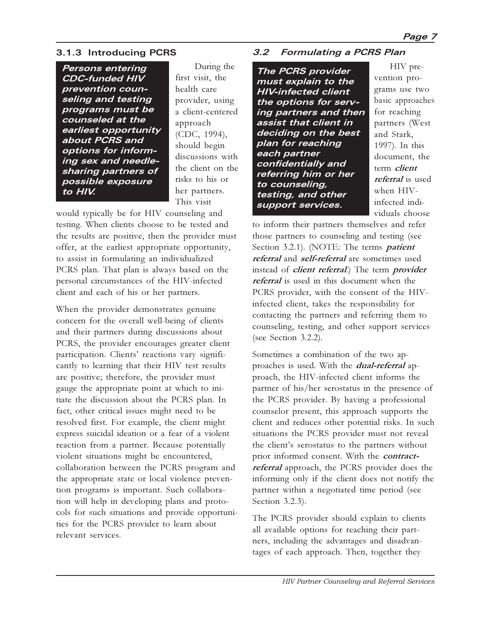#### **3.1.3 Introducing PCRS**

**Persons entering CDC-funded HIV prevention counseling and testing programs must be counseled at the earliest opportunity about PCRS and options for informing sex and needlesharing partners of possible exposure to HIV.**

 During the first visit, the health care provider, using a client-centered approach (CDC, 1994), should begin discussions with the client on the risks to his or her partners. This visit

would typically be for HIV counseling and testing. When clients choose to be tested and the results are positive, then the provider must offer, at the earliest appropriate opportunity, to assist in formulating an individualized PCRS plan. That plan is always based on the personal circumstances of the HIV-infected client and each of his or her partners.

When the provider demonstrates genuine concern for the overall well-being of clients and their partners during discussions about PCRS, the provider encourages greater client participation. Clients' reactions vary significantly to learning that their HIV test results are positive; therefore, the provider must gauge the appropriate point at which to initiate the discussion about the PCRS plan. In fact, other critical issues might need to be resolved first. For example, the client might express suicidal ideation or a fear of a violent reaction from a partner. Because potentially violent situations might be encountered, collaboration between the PCRS program and the appropriate state or local violence prevention programs is important. Such collaboration will help in developing plans and protocols for such situations and provide opportunities for the PCRS provider to learn about relevant services.

#### **3.2 Formulating a PCRS Plan**

**The PCRS provider must explain to the HIV-infected client the options for serving partners and then assist that client in deciding on the best plan for reaching each partner confidentially and referring him or her to counseling, testing, and other support services.**

 HIV prevention programs use two basic approaches for reaching partners (West and Stark, 1997). In this document, the term **client referral** is used when HIVinfected individuals choose

to inform their partners themselves and refer those partners to counseling and testing (see Section 3.2.1). (NOTE: The terms **patient referral** and **self-referral** are sometimes used instead of **client referral**.) The term **provider referral** is used in this document when the PCRS provider, with the consent of the HIVinfected client, takes the responsibility for contacting the partners and referring them to counseling, testing, and other support services (see Section 3.2.2).

Sometimes a combination of the two approaches is used. With the **dual-referral** approach, the HIV-infected client informs the partner of his/her serostatus in the presence of the PCRS provider. By having a professional counselor present, this approach supports the client and reduces other potential risks. In such situations the PCRS provider must not reveal the client's serostatus to the partners without prior informed consent. With the **contractreferral** approach, the PCRS provider does the informing only if the client does not notify the partner within a negotiated time period (see Section 3.2.3).

The PCRS provider should explain to clients all available options for reaching their partners, including the advantages and disadvantages of each approach. Then, together they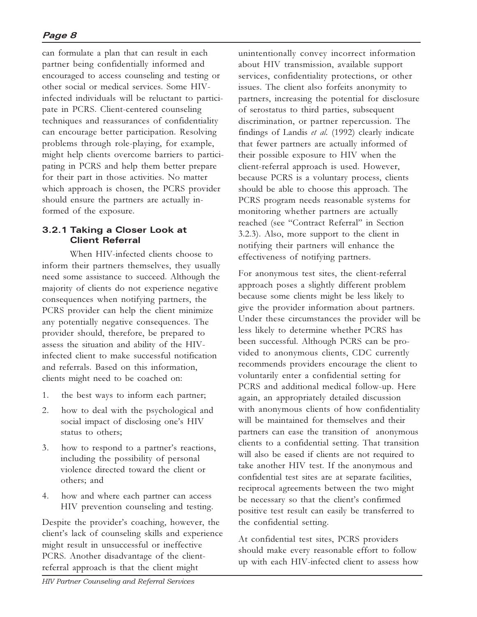can formulate a plan that can result in each partner being confidentially informed and encouraged to access counseling and testing or other social or medical services. Some HIVinfected individuals will be reluctant to participate in PCRS. Client-centered counseling techniques and reassurances of confidentiality can encourage better participation. Resolving problems through role-playing, for example, might help clients overcome barriers to participating in PCRS and help them better prepare for their part in those activities. No matter which approach is chosen, the PCRS provider should ensure the partners are actually informed of the exposure.

#### **3.2.1 Taking a Closer Look at Client Referral**

When HIV-infected clients choose to inform their partners themselves, they usually need some assistance to succeed. Although the majority of clients do not experience negative consequences when notifying partners, the PCRS provider can help the client minimize any potentially negative consequences. The provider should, therefore, be prepared to assess the situation and ability of the HIVinfected client to make successful notification and referrals. Based on this information, clients might need to be coached on:

- 1. the best ways to inform each partner;
- 2. how to deal with the psychological and social impact of disclosing one's HIV status to others;
- 3. how to respond to a partner's reactions, including the possibility of personal violence directed toward the client or others; and
- 4. how and where each partner can access HIV prevention counseling and testing.

Despite the provider's coaching, however, the client's lack of counseling skills and experience might result in unsuccessful or ineffective PCRS. Another disadvantage of the clientreferral approach is that the client might

unintentionally convey incorrect information about HIV transmission, available support services, confidentiality protections, or other issues. The client also forfeits anonymity to partners, increasing the potential for disclosure of serostatus to third parties, subsequent discrimination, or partner repercussion. The findings of Landis *et al.* (1992) clearly indicate that fewer partners are actually informed of their possible exposure to HIV when the client-referral approach is used. However, because PCRS is a voluntary process, clients should be able to choose this approach. The PCRS program needs reasonable systems for monitoring whether partners are actually reached (see "Contract Referral" in Section 3.2.3). Also, more support to the client in notifying their partners will enhance the effectiveness of notifying partners.

For anonymous test sites, the client-referral approach poses a slightly different problem because some clients might be less likely to give the provider information about partners. Under these circumstances the provider will be less likely to determine whether PCRS has been successful. Although PCRS can be provided to anonymous clients, CDC currently recommends providers encourage the client to voluntarily enter a confidential setting for PCRS and additional medical follow-up. Here again, an appropriately detailed discussion with anonymous clients of how confidentiality will be maintained for themselves and their partners can ease the transition of anonymous clients to a confidential setting. That transition will also be eased if clients are not required to take another HIV test. If the anonymous and confidential test sites are at separate facilities, reciprocal agreements between the two might be necessary so that the client's confirmed positive test result can easily be transferred to the confidential setting.

At confidential test sites, PCRS providers should make every reasonable effort to follow up with each HIV-infected client to assess how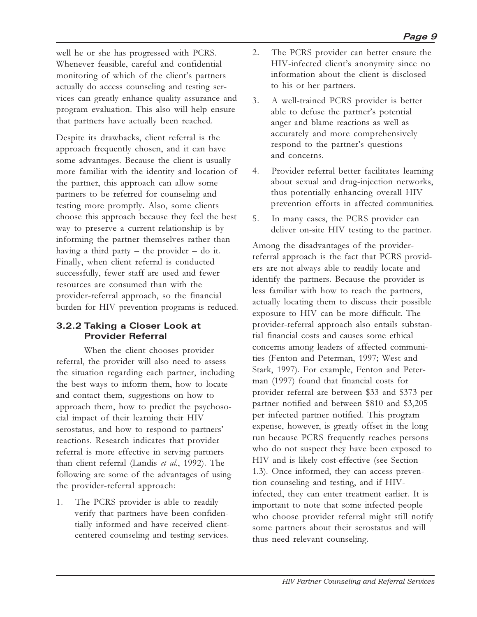well he or she has progressed with PCRS. Whenever feasible, careful and confidential monitoring of which of the client's partners actually do access counseling and testing services can greatly enhance quality assurance and program evaluation. This also will help ensure that partners have actually been reached.

Despite its drawbacks, client referral is the approach frequently chosen, and it can have some advantages. Because the client is usually more familiar with the identity and location of the partner, this approach can allow some partners to be referred for counseling and testing more promptly. Also, some clients choose this approach because they feel the best way to preserve a current relationship is by informing the partner themselves rather than having a third party  $-$  the provider  $-$  do it. Finally, when client referral is conducted successfully, fewer staff are used and fewer resources are consumed than with the provider-referral approach, so the financial burden for HIV prevention programs is reduced.

#### **3.2.2 Taking a Closer Look at Provider Referral**

When the client chooses provider referral, the provider will also need to assess the situation regarding each partner, including the best ways to inform them, how to locate and contact them, suggestions on how to approach them, how to predict the psychosocial impact of their learning their HIV serostatus, and how to respond to partners' reactions. Research indicates that provider referral is more effective in serving partners than client referral (Landis *et al.*, 1992). The following are some of the advantages of using the provider-referral approach:

1. The PCRS provider is able to readily verify that partners have been confidentially informed and have received clientcentered counseling and testing services.

- 2. The PCRS provider can better ensure the HIV-infected client's anonymity since no information about the client is disclosed to his or her partners.
- 3. A well-trained PCRS provider is better able to defuse the partner's potential anger and blame reactions as well as accurately and more comprehensively respond to the partner's questions and concerns.
- 4. Provider referral better facilitates learning about sexual and drug-injection networks, thus potentially enhancing overall HIV prevention efforts in affected communities.
- 5. In many cases, the PCRS provider can deliver on-site HIV testing to the partner.

Among the disadvantages of the providerreferral approach is the fact that PCRS providers are not always able to readily locate and identify the partners. Because the provider is less familiar with how to reach the partners, actually locating them to discuss their possible exposure to HIV can be more difficult. The provider-referral approach also entails substantial financial costs and causes some ethical concerns among leaders of affected communities (Fenton and Peterman, 1997; West and Stark, 1997). For example, Fenton and Peterman (1997) found that financial costs for provider referral are between \$33 and \$373 per partner notified and between \$810 and \$3,205 per infected partner notified. This program expense, however, is greatly offset in the long run because PCRS frequently reaches persons who do not suspect they have been exposed to HIV and is likely cost-effective (see Section 1.3). Once informed, they can access prevention counseling and testing, and if HIVinfected, they can enter treatment earlier. It is important to note that some infected people who choose provider referral might still notify some partners about their serostatus and will thus need relevant counseling.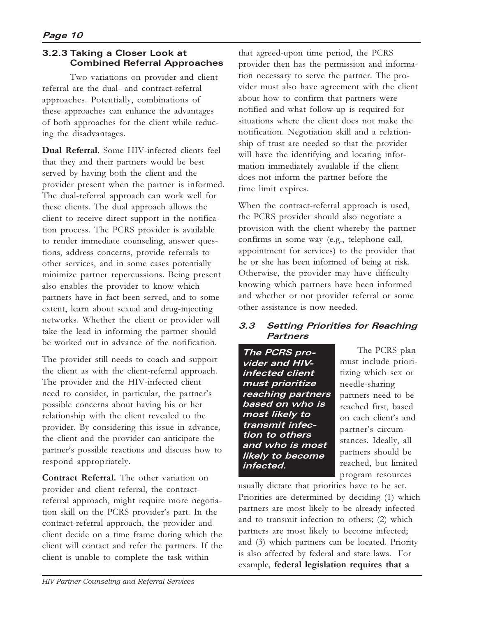#### **3.2.3 Taking a Closer Look at Combined Referral Approaches**

Two variations on provider and client referral are the dual- and contract-referral approaches. Potentially, combinations of these approaches can enhance the advantages of both approaches for the client while reducing the disadvantages.

**Dual Referral.** Some HIV-infected clients feel that they and their partners would be best served by having both the client and the provider present when the partner is informed. The dual-referral approach can work well for these clients. The dual approach allows the client to receive direct support in the notification process. The PCRS provider is available to render immediate counseling, answer questions, address concerns, provide referrals to other services, and in some cases potentially minimize partner repercussions. Being present also enables the provider to know which partners have in fact been served, and to some extent, learn about sexual and drug-injecting networks. Whether the client or provider will take the lead in informing the partner should be worked out in advance of the notification.

The provider still needs to coach and support the client as with the client-referral approach. The provider and the HIV-infected client need to consider, in particular, the partner's possible concerns about having his or her relationship with the client revealed to the provider. By considering this issue in advance, the client and the provider can anticipate the partner's possible reactions and discuss how to respond appropriately.

**Contract Referral.** The other variation on provider and client referral, the contractreferral approach, might require more negotiation skill on the PCRS provider's part. In the contract-referral approach, the provider and client decide on a time frame during which the client will contact and refer the partners. If the client is unable to complete the task within

that agreed-upon time period, the PCRS provider then has the permission and information necessary to serve the partner. The provider must also have agreement with the client about how to confirm that partners were notified and what follow-up is required for situations where the client does not make the notification. Negotiation skill and a relationship of trust are needed so that the provider will have the identifying and locating information immediately available if the client does not inform the partner before the time limit expires.

When the contract-referral approach is used, the PCRS provider should also negotiate a provision with the client whereby the partner confirms in some way (e.g., telephone call, appointment for services) to the provider that he or she has been informed of being at risk. Otherwise, the provider may have difficulty knowing which partners have been informed and whether or not provider referral or some other assistance is now needed.

#### **3.3 Setting Priorities for Reaching Partners**

**The PCRS provider and HIVinfected client must prioritize reaching partners based on who is most likely to transmit infection to others and who is most likely to become infected.**

 The PCRS plan must include prioritizing which sex or needle-sharing partners need to be reached first, based on each client's and partner's circumstances. Ideally, all partners should be reached, but limited program resources

usually dictate that priorities have to be set. Priorities are determined by deciding (1) which partners are most likely to be already infected and to transmit infection to others; (2) which partners are most likely to become infected; and (3) which partners can be located. Priority is also affected by federal and state laws. For example, **federal legislation requires that a**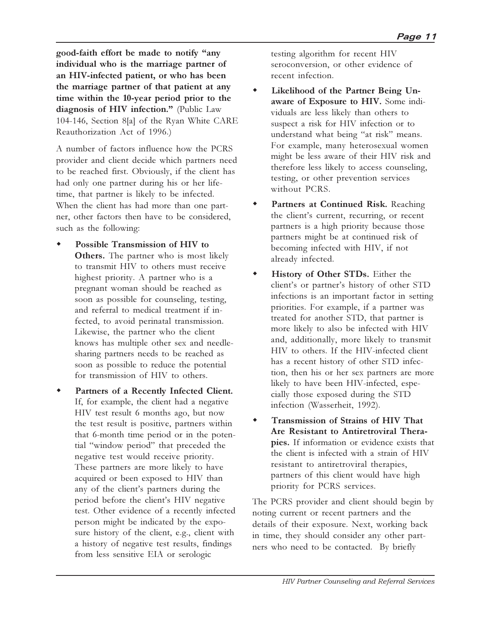**good-faith effort be made to notify any individual who is the marriage partner of an HIV-infected patient, or who has been the marriage partner of that patient at any time within the 10-year period prior to the** diagnosis of HIV infection." (Public Law 104-146, Section 8[a] of the Ryan White CARE Reauthorization Act of 1996.)

A number of factors influence how the PCRS provider and client decide which partners need to be reached first. Obviously, if the client has had only one partner during his or her lifetime, that partner is likely to be infected. When the client has had more than one partner, other factors then have to be considered, such as the following:

- Possible Transmission of HIV to **Others.** The partner who is most likely to transmit HIV to others must receive highest priority. A partner who is a pregnant woman should be reached as soon as possible for counseling, testing, and referral to medical treatment if infected, to avoid perinatal transmission. Likewise, the partner who the client knows has multiple other sex and needlesharing partners needs to be reached as soon as possible to reduce the potential for transmission of HIV to others.
- Partners of a Recently Infected Client. If, for example, the client had a negative HIV test result 6 months ago, but now the test result is positive, partners within that 6-month time period or in the potential "window period" that preceded the negative test would receive priority. These partners are more likely to have acquired or been exposed to HIV than any of the client's partners during the period before the client's HIV negative test. Other evidence of a recently infected person might be indicated by the exposure history of the client, e.g., client with a history of negative test results, findings from less sensitive EIA or serologic

testing algorithm for recent HIV seroconversion, or other evidence of recent infection.

- Likelihood of the Partner Being Un**aware of Exposure to HIV.** Some individuals are less likely than others to suspect a risk for HIV infection or to understand what being "at risk" means. For example, many heterosexual women might be less aware of their HIV risk and therefore less likely to access counseling, testing, or other prevention services without PCRS.
- Partners at Continued Risk. Reaching the client's current, recurring, or recent partners is a high priority because those partners might be at continued risk of becoming infected with HIV, if not already infected.
- History of Other STDs. Either the client's or partner's history of other STD infections is an important factor in setting priorities. For example, if a partner was treated for another STD, that partner is more likely to also be infected with HIV and, additionally, more likely to transmit HIV to others. If the HIV-infected client has a recent history of other STD infection, then his or her sex partners are more likely to have been HIV-infected, especially those exposed during the STD infection (Wasserheit, 1992).
- **Transmission of Strains of HIV That Are Resistant to Antiretroviral Therapies.** If information or evidence exists that the client is infected with a strain of HIV resistant to antiretroviral therapies, partners of this client would have high priority for PCRS services.

The PCRS provider and client should begin by noting current or recent partners and the details of their exposure. Next, working back in time, they should consider any other partners who need to be contacted. By briefly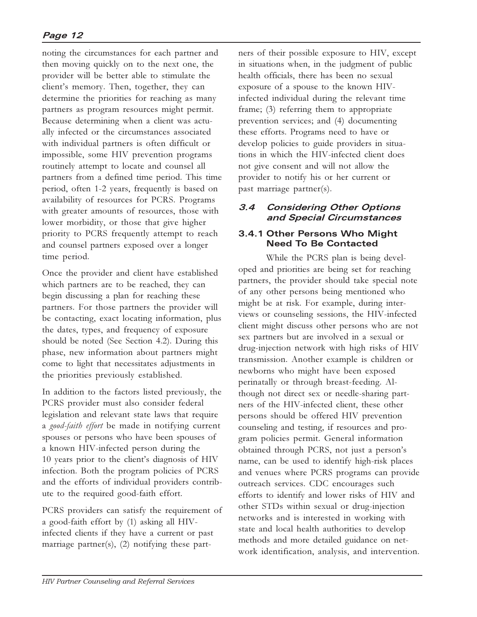#### **Page 12**

noting the circumstances for each partner and then moving quickly on to the next one, the provider will be better able to stimulate the client's memory. Then, together, they can determine the priorities for reaching as many partners as program resources might permit. Because determining when a client was actually infected or the circumstances associated with individual partners is often difficult or impossible, some HIV prevention programs routinely attempt to locate and counsel all partners from a defined time period. This time period, often 1-2 years, frequently is based on availability of resources for PCRS. Programs with greater amounts of resources, those with lower morbidity, or those that give higher priority to PCRS frequently attempt to reach and counsel partners exposed over a longer time period.

Once the provider and client have established which partners are to be reached, they can begin discussing a plan for reaching these partners. For those partners the provider will be contacting, exact locating information, plus the dates, types, and frequency of exposure should be noted (See Section 4.2). During this phase, new information about partners might come to light that necessitates adjustments in the priorities previously established.

In addition to the factors listed previously, the PCRS provider must also consider federal legislation and relevant state laws that require a *good-faith effort* be made in notifying current spouses or persons who have been spouses of a known HIV-infected person during the 10 years prior to the client's diagnosis of HIV infection. Both the program policies of PCRS and the efforts of individual providers contribute to the required good-faith effort.

PCRS providers can satisfy the requirement of a good-faith effort by (1) asking all HIVinfected clients if they have a current or past marriage partner(s),  $(2)$  notifying these partners of their possible exposure to HIV, except in situations when, in the judgment of public health officials, there has been no sexual exposure of a spouse to the known HIVinfected individual during the relevant time frame; (3) referring them to appropriate prevention services; and (4) documenting these efforts. Programs need to have or develop policies to guide providers in situations in which the HIV-infected client does not give consent and will not allow the provider to notify his or her current or past marriage partner(s).

#### **3.4 Considering Other Options and Special Circumstances**

#### **3.4.1 Other Persons Who Might Need To Be Contacted**

While the PCRS plan is being developed and priorities are being set for reaching partners, the provider should take special note of any other persons being mentioned who might be at risk. For example, during interviews or counseling sessions, the HIV-infected client might discuss other persons who are not sex partners but are involved in a sexual or drug-injection network with high risks of HIV transmission. Another example is children or newborns who might have been exposed perinatally or through breast-feeding. Although not direct sex or needle-sharing partners of the HIV-infected client, these other persons should be offered HIV prevention counseling and testing, if resources and program policies permit. General information obtained through PCRS, not just a person's name, can be used to identify high-risk places and venues where PCRS programs can provide outreach services. CDC encourages such efforts to identify and lower risks of HIV and other STDs within sexual or drug-injection networks and is interested in working with state and local health authorities to develop methods and more detailed guidance on network identification, analysis, and intervention.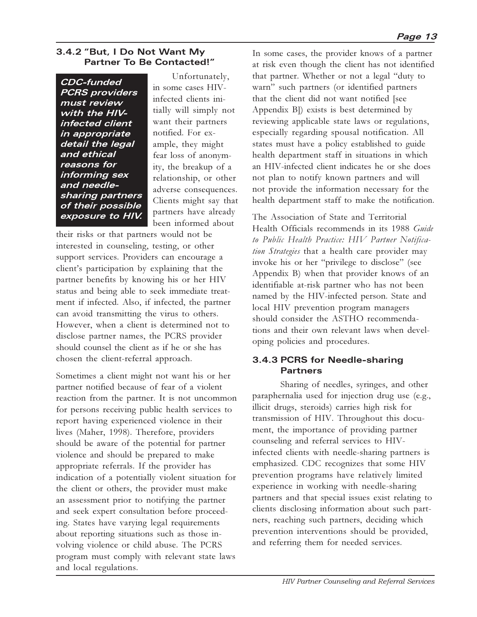#### **3.4.2 "But, I Do Not Want My Partner To Be Contacted!**

**CDC-funded PCRS providers must review with the HIVinfected client in appropriate detail the legal and ethical reasons for informing sex and needlesharing partners of their possible exposure to HIV.**

 Unfortunately, in some cases HIVinfected clients initially will simply not want their partners notified. For example, they might fear loss of anonymity, the breakup of a relationship, or other adverse consequences. Clients might say that partners have already been informed about

their risks or that partners would not be interested in counseling, testing, or other support services. Providers can encourage a client's participation by explaining that the partner benefits by knowing his or her HIV status and being able to seek immediate treatment if infected. Also, if infected, the partner can avoid transmitting the virus to others. However, when a client is determined not to disclose partner names, the PCRS provider should counsel the client as if he or she has chosen the client-referral approach.

Sometimes a client might not want his or her partner notified because of fear of a violent reaction from the partner. It is not uncommon for persons receiving public health services to report having experienced violence in their lives (Maher, 1998). Therefore, providers should be aware of the potential for partner violence and should be prepared to make appropriate referrals. If the provider has indication of a potentially violent situation for the client or others, the provider must make an assessment prior to notifying the partner and seek expert consultation before proceeding. States have varying legal requirements about reporting situations such as those involving violence or child abuse. The PCRS program must comply with relevant state laws and local regulations.

In some cases, the provider knows of a partner at risk even though the client has not identified that partner. Whether or not a legal "duty to warn" such partners (or identified partners that the client did not want notified [see Appendix B]) exists is best determined by reviewing applicable state laws or regulations, especially regarding spousal notification. All states must have a policy established to guide health department staff in situations in which an HIV-infected client indicates he or she does not plan to notify known partners and will not provide the information necessary for the health department staff to make the notification.

The Association of State and Territorial Health Officials recommends in its 1988 *Guide to Public Health Practice: HIV Partner Notification Strategies* that a health care provider may invoke his or her "privilege to disclose" (see Appendix B) when that provider knows of an identifiable at-risk partner who has not been named by the HIV-infected person. State and local HIV prevention program managers should consider the ASTHO recommendations and their own relevant laws when developing policies and procedures.

#### **3.4.3 PCRS for Needle-sharing Partners**

Sharing of needles, syringes, and other paraphernalia used for injection drug use (e.g., illicit drugs, steroids) carries high risk for transmission of HIV. Throughout this document, the importance of providing partner counseling and referral services to HIVinfected clients with needle-sharing partners is emphasized. CDC recognizes that some HIV prevention programs have relatively limited experience in working with needle-sharing partners and that special issues exist relating to clients disclosing information about such partners, reaching such partners, deciding which prevention interventions should be provided, and referring them for needed services.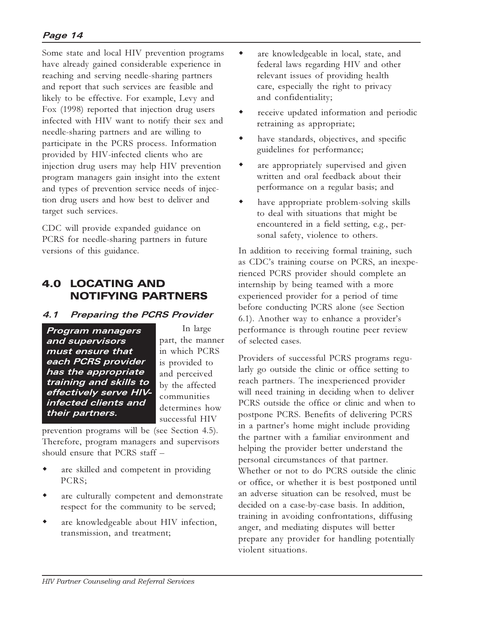Some state and local HIV prevention programs have already gained considerable experience in reaching and serving needle-sharing partners and report that such services are feasible and likely to be effective. For example, Levy and Fox (1998) reported that injection drug users infected with HIV want to notify their sex and needle-sharing partners and are willing to participate in the PCRS process. Information provided by HIV-infected clients who are injection drug users may help HIV prevention program managers gain insight into the extent and types of prevention service needs of injection drug users and how best to deliver and target such services.

CDC will provide expanded guidance on PCRS for needle-sharing partners in future versions of this guidance.

## 4.0 LOCATING AND NOTIFYING PARTNERS

#### **4.1 Preparing the PCRS Provider**

**Program managers and supervisors must ensure that each PCRS provider has the appropriate training and skills to effectively serve HIVinfected clients and their partners.**

In large part, the manner in which PCRS is provided to and perceived by the affected communities determines how successful HIV

prevention programs will be (see Section 4.5). Therefore, program managers and supervisors should ensure that PCRS staff

- are skilled and competent in providing PCRS;
- are culturally competent and demonstrate respect for the community to be served;
- are knowledgeable about HIV infection, transmission, and treatment;
- are knowledgeable in local, state, and federal laws regarding HIV and other relevant issues of providing health care, especially the right to privacy and confidentiality;
- receive updated information and periodic retraining as appropriate;
- have standards, objectives, and specific guidelines for performance;
- are appropriately supervised and given written and oral feedback about their performance on a regular basis; and
- have appropriate problem-solving skills to deal with situations that might be encountered in a field setting, e.g., personal safety, violence to others.

In addition to receiving formal training, such as CDC's training course on PCRS, an inexperienced PCRS provider should complete an internship by being teamed with a more experienced provider for a period of time before conducting PCRS alone (see Section 6.1). Another way to enhance a provider's performance is through routine peer review of selected cases.

Providers of successful PCRS programs regularly go outside the clinic or office setting to reach partners. The inexperienced provider will need training in deciding when to deliver PCRS outside the office or clinic and when to postpone PCRS. Benefits of delivering PCRS in a partner's home might include providing the partner with a familiar environment and helping the provider better understand the personal circumstances of that partner. Whether or not to do PCRS outside the clinic or office, or whether it is best postponed until an adverse situation can be resolved, must be decided on a case-by-case basis. In addition, training in avoiding confrontations, diffusing anger, and mediating disputes will better prepare any provider for handling potentially violent situations.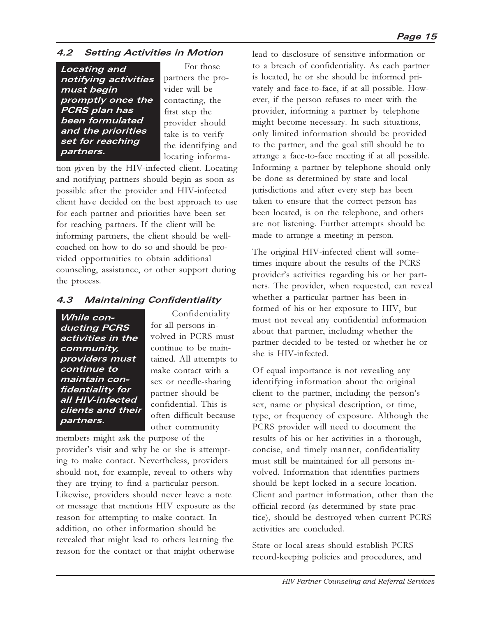#### **4.2 Setting Activities in Motion**

**Locating and notifying activities must begin promptly once the PCRS plan has been formulated and the priorities set for reaching partners.**

 For those partners the provider will be contacting, the first step the provider should take is to verify the identifying and locating informa-

tion given by the HIV-infected client. Locating and notifying partners should begin as soon as possible after the provider and HIV-infected client have decided on the best approach to use for each partner and priorities have been set for reaching partners. If the client will be informing partners, the client should be wellcoached on how to do so and should be provided opportunities to obtain additional counseling, assistance, or other support during the process.

#### **4.3 Maintaining Confidentiality**

**While conducting PCRS activities in the community, providers must continue to maintain confidentiality for all HIV-infected clients and their partners.**

 Confidentiality for all persons involved in PCRS must continue to be maintained. All attempts to make contact with a sex or needle-sharing partner should be confidential. This is often difficult because other community

members might ask the purpose of the provider's visit and why he or she is attempting to make contact. Nevertheless, providers should not, for example, reveal to others why they are trying to find a particular person. Likewise, providers should never leave a note or message that mentions HIV exposure as the reason for attempting to make contact. In addition, no other information should be revealed that might lead to others learning the reason for the contact or that might otherwise lead to disclosure of sensitive information or to a breach of confidentiality. As each partner is located, he or she should be informed privately and face-to-face, if at all possible. However, if the person refuses to meet with the provider, informing a partner by telephone might become necessary. In such situations, only limited information should be provided to the partner, and the goal still should be to arrange a face-to-face meeting if at all possible. Informing a partner by telephone should only be done as determined by state and local jurisdictions and after every step has been taken to ensure that the correct person has been located, is on the telephone, and others are not listening. Further attempts should be made to arrange a meeting in person.

The original HIV-infected client will sometimes inquire about the results of the PCRS provider's activities regarding his or her partners. The provider, when requested, can reveal whether a particular partner has been informed of his or her exposure to HIV, but must not reveal any confidential information about that partner, including whether the partner decided to be tested or whether he or she is HIV-infected.

Of equal importance is not revealing any identifying information about the original client to the partner, including the person's sex, name or physical description, or time, type, or frequency of exposure. Although the PCRS provider will need to document the results of his or her activities in a thorough, concise, and timely manner, confidentiality must still be maintained for all persons involved. Information that identifies partners should be kept locked in a secure location. Client and partner information, other than the official record (as determined by state practice), should be destroyed when current PCRS activities are concluded.

State or local areas should establish PCRS record-keeping policies and procedures, and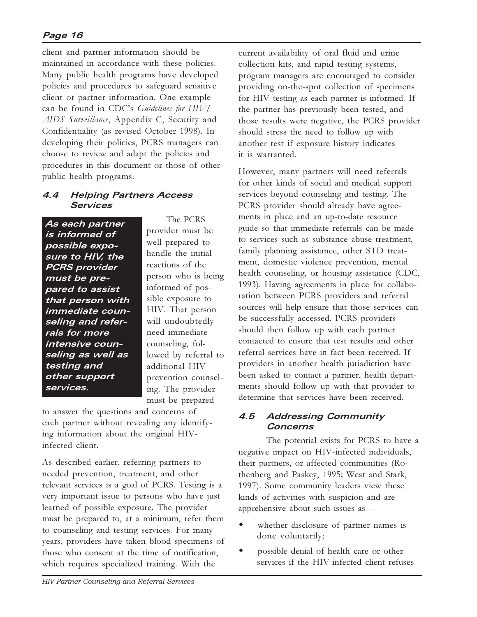#### **Page 16**

client and partner information should be maintained in accordance with these policies. Many public health programs have developed policies and procedures to safeguard sensitive client or partner information. One example can be found in CDCs *Guidelines for HIV/ AIDS Surveillance*, Appendix C, Security and Confidentiality (as revised October 1998). In developing their policies, PCRS managers can choose to review and adapt the policies and procedures in this document or those of other public health programs.

#### **4.4 Helping Partners Access Services**

**As each partner is informed of possible exposure to HIV, the PCRS provider must be prepared to assist that person with immediate counseling and referrals for more intensive counseling as well as testing and other support services.**

 The PCRS provider must be well prepared to handle the initial reactions of the person who is being informed of possible exposure to HIV. That person will undoubtedly need immediate counseling, followed by referral to additional HIV prevention counseling. The provider must be prepared

to answer the questions and concerns of each partner without revealing any identifying information about the original HIVinfected client.

As described earlier, referring partners to needed prevention, treatment, and other relevant services is a goal of PCRS. Testing is a very important issue to persons who have just learned of possible exposure. The provider must be prepared to, at a minimum, refer them to counseling and testing services. For many years, providers have taken blood specimens of those who consent at the time of notification, which requires specialized training. With the

current availability of oral fluid and urine collection kits, and rapid testing systems, program managers are encouraged to consider providing on-the-spot collection of specimens for HIV testing as each partner is informed. If the partner has previously been tested, and those results were negative, the PCRS provider should stress the need to follow up with another test if exposure history indicates it is warranted.

However, many partners will need referrals for other kinds of social and medical support services beyond counseling and testing. The PCRS provider should already have agreements in place and an up-to-date resource guide so that immediate referrals can be made to services such as substance abuse treatment, family planning assistance, other STD treatment, domestic violence prevention, mental health counseling, or housing assistance (CDC, 1993). Having agreements in place for collaboration between PCRS providers and referral sources will help ensure that those services can be successfully accessed. PCRS providers should then follow up with each partner contacted to ensure that test results and other referral services have in fact been received. If providers in another health jurisdiction have been asked to contact a partner, health departments should follow up with that provider to determine that services have been received.

#### **4.5 Addressing Community Concerns**

The potential exists for PCRS to have a negative impact on HIV-infected individuals, their partners, or affected communities (Rothenberg and Paskey, 1995; West and Stark, 1997). Some community leaders view these kinds of activities with suspicion and are apprehensive about such issues as

- whether disclosure of partner names is done voluntarily;
- possible denial of health care or other services if the HIV-infected client refuses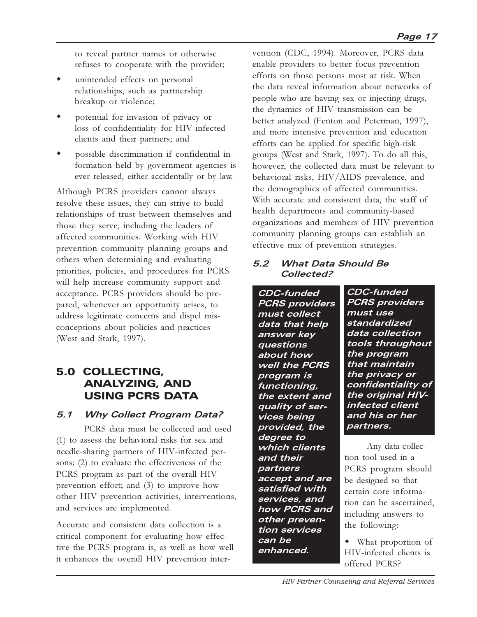to reveal partner names or otherwise refuses to cooperate with the provider;

- $\bullet$  unintended effects on personal relationships, such as partnership breakup or violence;
- potential for invasion of privacy or loss of confidentiality for HIV-infected clients and their partners; and
- possible discrimination if confidential information held by government agencies is ever released, either accidentally or by law.

Although PCRS providers cannot always resolve these issues, they can strive to build relationships of trust between themselves and those they serve, including the leaders of affected communities. Working with HIV prevention community planning groups and others when determining and evaluating priorities, policies, and procedures for PCRS will help increase community support and acceptance. PCRS providers should be prepared, whenever an opportunity arises, to address legitimate concerns and dispel misconceptions about policies and practices (West and Stark, 1997).

## 5.0 COLLECTING, ANALYZING, AND USING PCRS DATA

#### **5.1 Why Collect Program Data?**

PCRS data must be collected and used (1) to assess the behavioral risks for sex and needle-sharing partners of HIV-infected persons; (2) to evaluate the effectiveness of the PCRS program as part of the overall HIV prevention effort; and (3) to improve how other HIV prevention activities, interventions, and services are implemented.

Accurate and consistent data collection is a critical component for evaluating how effective the PCRS program is, as well as how well it enhances the overall HIV prevention intervention (CDC, 1994). Moreover, PCRS data enable providers to better focus prevention efforts on those persons most at risk. When the data reveal information about networks of people who are having sex or injecting drugs, the dynamics of HIV transmission can be better analyzed (Fenton and Peterman, 1997), and more intensive prevention and education efforts can be applied for specific high-risk groups (West and Stark, 1997). To do all this, however, the collected data must be relevant to behavioral risks, HIV/AIDS prevalence, and the demographics of affected communities. With accurate and consistent data, the staff of health departments and community-based organizations and members of HIV prevention community planning groups can establish an effective mix of prevention strategies.

#### **5.2 What Data Should Be Collected?**

**CDC-funded PCRS providers must collect data that help answer key questions about how well the PCRS program is functioning, the extent and quality of services being provided, the degree to which clients and their partners accept and are satisfied with services, and how PCRS and other prevention services can be enhanced.**

**CDC-funded PCRS providers must use standardized data collection tools throughout the program that maintain the privacy or confidentiality of the original HIVinfected client and his or her partners.**

 Any data collection tool used in a PCRS program should be designed so that certain core information can be ascertained, including answers to the following:

• What proportion of HIV-infected clients is offered PCRS?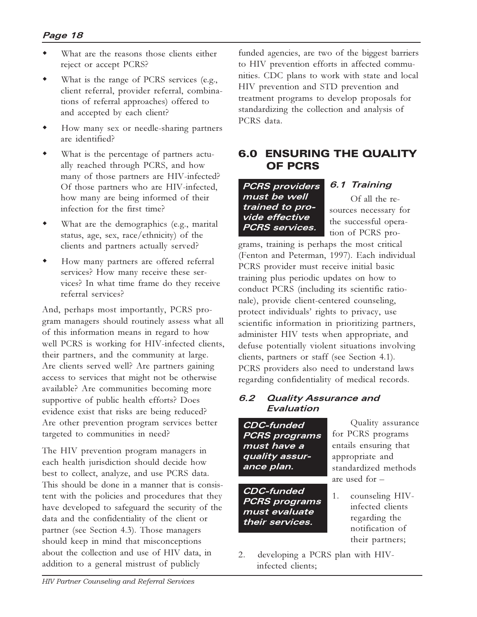- What are the reasons those clients either reject or accept PCRS?
- What is the range of PCRS services (e.g., client referral, provider referral, combinations of referral approaches) offered to and accepted by each client?
- How many sex or needle-sharing partners are identified?
- What is the percentage of partners actually reached through PCRS, and how many of those partners are HIV-infected? Of those partners who are HIV-infected, how many are being informed of their infection for the first time?
- What are the demographics (e.g., marital status, age, sex, race/ethnicity) of the clients and partners actually served?
- How many partners are offered referral services? How many receive these services? In what time frame do they receive referral services?

And, perhaps most importantly, PCRS program managers should routinely assess what all of this information means in regard to how well PCRS is working for HIV-infected clients, their partners, and the community at large. Are clients served well? Are partners gaining access to services that might not be otherwise available? Are communities becoming more supportive of public health efforts? Does evidence exist that risks are being reduced? Are other prevention program services better targeted to communities in need?

The HIV prevention program managers in each health jurisdiction should decide how best to collect, analyze, and use PCRS data. This should be done in a manner that is consistent with the policies and procedures that they have developed to safeguard the security of the data and the confidentiality of the client or partner (see Section 4.3). Those managers should keep in mind that misconceptions about the collection and use of HIV data, in addition to a general mistrust of publicly

funded agencies, are two of the biggest barriers to HIV prevention efforts in affected communities. CDC plans to work with state and local HIV prevention and STD prevention and treatment programs to develop proposals for standardizing the collection and analysis of PCRS data.

#### 6.0 ENSURING THE QUALITY OF PCRS

**PCRS providers must be well trained to provide effective PCRS services.**

**6.1 Training**

Of all the resources necessary for the successful operation of PCRS pro-

grams, training is perhaps the most critical (Fenton and Peterman, 1997). Each individual PCRS provider must receive initial basic training plus periodic updates on how to conduct PCRS (including its scientific rationale), provide client-centered counseling, protect individuals' rights to privacy, use scientific information in prioritizing partners, administer HIV tests when appropriate, and defuse potentially violent situations involving clients, partners or staff (see Section 4.1). PCRS providers also need to understand laws regarding confidentiality of medical records.

#### **6.2 Quality Assurance and Evaluation**

**CDC-funded PCRS programs must have a quality assurance plan.**

**CDC-funded PCRS programs must evaluate their services.**

Quality assurance for PCRS programs entails ensuring that appropriate and standardized methods are used for

- 1. counseling HIVinfected clients regarding the notification of their partners;
- 2. developing a PCRS plan with HIVinfected clients;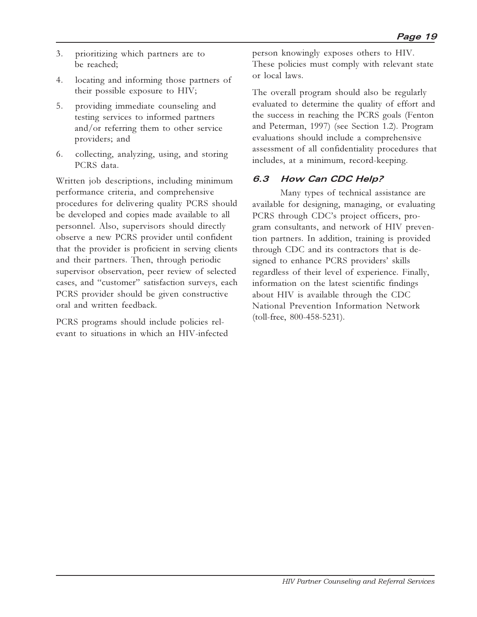- 3. prioritizing which partners are to be reached;
- 4. locating and informing those partners of their possible exposure to HIV;
- 5. providing immediate counseling and testing services to informed partners and/or referring them to other service providers; and
- 6. collecting, analyzing, using, and storing PCRS data.

Written job descriptions, including minimum performance criteria, and comprehensive procedures for delivering quality PCRS should be developed and copies made available to all personnel. Also, supervisors should directly observe a new PCRS provider until confident that the provider is proficient in serving clients and their partners. Then, through periodic supervisor observation, peer review of selected cases, and "customer" satisfaction surveys, each PCRS provider should be given constructive oral and written feedback.

PCRS programs should include policies relevant to situations in which an HIV-infected person knowingly exposes others to HIV. These policies must comply with relevant state or local laws.

The overall program should also be regularly evaluated to determine the quality of effort and the success in reaching the PCRS goals (Fenton and Peterman, 1997) (see Section 1.2). Program evaluations should include a comprehensive assessment of all confidentiality procedures that includes, at a minimum, record-keeping.

### **6.3 How Can CDC Help?**

Many types of technical assistance are available for designing, managing, or evaluating PCRS through CDC's project officers, program consultants, and network of HIV prevention partners. In addition, training is provided through CDC and its contractors that is designed to enhance PCRS providers' skills regardless of their level of experience. Finally, information on the latest scientific findings about HIV is available through the CDC National Prevention Information Network (toll-free, 800-458-5231).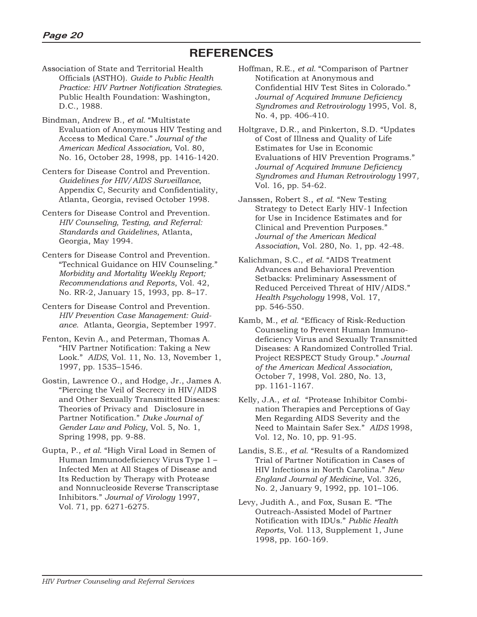## **REFERENCES**

- Association of State and Territorial Health Officials (ASTHO). *Guide to Public Health Practice: HIV Partner Notification Strategies*. Public Health Foundation: Washington, D.C., 1988.
- Bindman, Andrew B., et al. "Multistate Evaluation of Anonymous HIV Testing and Access to Medical Care. *Journal of the American Medical Association,* Vol. 80, No. 16, October 28, 1998, pp. 1416-1420.
- Centers for Disease Control and Prevention. *Guidelines for HIV/AIDS Surveillance*, Appendix C, Security and Confidentiality, Atlanta, Georgia, revised October 1998.
- Centers for Disease Control and Prevention. *HIV Counseling, Testing, and Referral: Standards and Guidelines*, Atlanta, Georgia, May 1994.
- Centers for Disease Control and Prevention. Technical Guidance on HIV Counseling. *Morbidity and Mortality Weekly Report; Recommendations and Reports*, Vol. 42, No. RR-2, January 15, 1993, pp. 8-17.
- Centers for Disease Control and Prevention. *HIV Prevention Case Management: Guidance*. Atlanta, Georgia, September 1997.
- Fenton, Kevin A., and Peterman, Thomas A. HIV Partner Notification: Taking a New Look." AIDS, Vol. 11, No. 13, November 1, 1997, pp. 1535-1546.
- Gostin, Lawrence O., and Hodge, Jr., James A. Piercing the Veil of Secrecy in HIV/AIDS and Other Sexually Transmitted Diseases: Theories of Privacy and Disclosure in Partner Notification. *Duke Journal of Gender Law and Policy*, Vol. 5, No. 1, Spring 1998, pp. 9-88.
- Gupta, P., *et al.* "High Viral Load in Semen of Human Immunodeficiency Virus Type 1 Infected Men at All Stages of Disease and Its Reduction by Therapy with Protease and Nonnucleoside Reverse Transcriptase Inhibitors. *Journal of Virology* 1997, Vol. 71, pp. 6271-6275.
- Hoffman, R.E., *et al.* "Comparison of Partner Notification at Anonymous and Confidential HIV Test Sites in Colorado. *Journal of Acquired Immune Deficiency Syndromes and Retrovirology* 1995, Vol. 8, No. 4, pp. 406-410.
- Holtgrave, D.R., and Pinkerton, S.D. "Updates of Cost of Illness and Quality of Life Estimates for Use in Economic Evaluations of HIV Prevention Programs. *Journal of Acquired Immune Deficiency Syndromes and Human Retrovirology* 1997*,* Vol. 16, pp. 54-62.
- Janssen, Robert S., et al. "New Testing Strategy to Detect Early HIV-1 Infection for Use in Incidence Estimates and for Clinical and Prevention Purposes. *Journal of the American Medical Association*, Vol. 280, No. 1, pp. 42-48.
- Kalichman, S.C., *et al.* AIDS Treatment Advances and Behavioral Prevention Setbacks: Preliminary Assessment of Reduced Perceived Threat of HIV/AIDS. *Health Psychology* 1998, Vol. 17, pp. 546-550.
- Kamb, M., et al. "Efficacy of Risk-Reduction Counseling to Prevent Human Immunodeficiency Virus and Sexually Transmitted Diseases: A Randomized Controlled Trial. Project RESPECT Study Group. *Journal of the American Medical Association,* October 7, 1998, Vol. 280, No. 13, pp. 1161-1167.
- Kelly, J.A., *et al.* "Protease Inhibitor Combination Therapies and Perceptions of Gay Men Regarding AIDS Severity and the Need to Maintain Safer Sex. *AIDS* 1998, Vol. 12, No. 10, pp. 91-95.
- Landis, S.E., *et al.* "Results of a Randomized Trial of Partner Notification in Cases of HIV Infections in North Carolina. *New England Journal of Medicine*, Vol. 326, No. 2, January 9, 1992, pp. 101-106.
- Levy, Judith A., and Fox, Susan E. "The Outreach-Assisted Model of Partner Notification with IDUs. *Public Health Reports*, Vol. 113, Supplement 1, June 1998, pp. 160-169.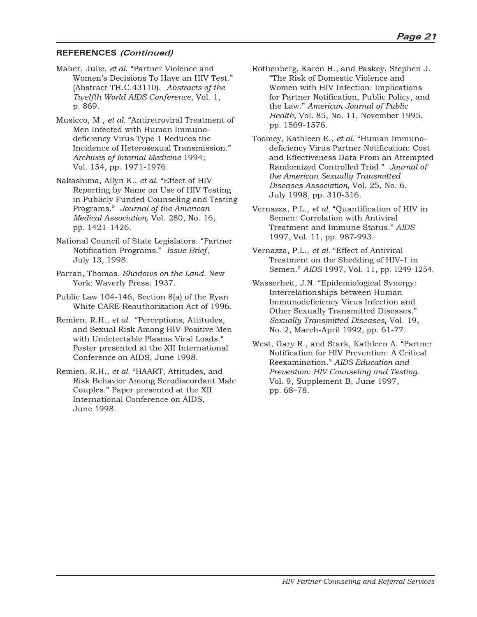#### **REFERENCES (Continued)**

- Maher, Julie, et al. "Partner Violence and Women's Decisions To Have an HIV Test." (Abstract TH.C.43110). *Abstracts of the Twelfth World AIDS Conference*, Vol. 1, p. 869.
- Musicco, M., et al. "Antiretroviral Treatment of Men Infected with Human Immunodeficiency Virus Type 1 Reduces the Incidence of Heterosexual Transmission. *Archives of Internal Medicine* 1994; Vol. 154, pp. 1971-1976.
- Nakashima, Allyn K., *et al.* "Effect of HIV" Reporting by Name on Use of HIV Testing in Publicly Funded Counseling and Testing Programs. *Journal of the American Medical Association,* Vol. 280, No. 16, pp. 1421-1426.
- National Council of State Legislators. Partner Notification Programs. *Issue Brief*, July 13, 1998.
- Parran, Thomas. *Shadows on the Land*. New York: Waverly Press, 1937.
- Public Law 104-146, Section 8(a) of the Ryan White CARE Reauthorization Act of 1996.
- Remien, R.H., *et al.* "Perceptions, Attitudes, and Sexual Risk Among HIV-Positive Men with Undetectable Plasma Viral Loads. Poster presented at the XII International Conference on AIDS, June 1998.
- Remien, R.H., et al. "HAART, Attitudes, and Risk Behavior Among Serodiscordant Male Couples." Paper presented at the XII International Conference on AIDS, June 1998.
- Rothenberg, Karen H., and Paskey, Stephen J. The Risk of Domestic Violence and Women with HIV Infection: Implications for Partner Notification, Public Policy, and the Law. *American Journal of Public Health*, Vol. 85, No. 11, November 1995, pp. 1569-1576.
- Toomey, Kathleen E., et al. "Human Immunodeficiency Virus Partner Notification: Cost and Effectiveness Data From an Attempted Randomized Controlled Trial. *Journal of the American Sexually Transmitted Diseases Association,* Vol. 25, No. 6, July 1998, pp. 310-316.
- Vernazza, P.L., *et al.* "Quantification of HIV in Semen: Correlation with Antiviral Treatment and Immune Status. *AIDS* 1997, Vol. 11, pp. 987-993.
- Vernazza, P.L., *et al.* "Effect of Antiviral" Treatment on the Shedding of HIV-1 in Semen. *AIDS* 1997, Vol. 11, pp. 1249-1254.
- Wasserheit, J.N. Epidemiological Synergy: Interrelationships between Human Immunodeficiency Virus Infection and Other Sexually Transmitted Diseases. *Sexually Transmitted Diseases,* Vol. 19, No. 2, March-April 1992, pp. 61-77.
- West, Gary R., and Stark, Kathleen A. "Partner Notification for HIV Prevention: A Critical Reexamination. *AIDS Education and Prevention: HIV Counseling and Testing*. Vol. 9, Supplement B, June 1997, pp. 68-78.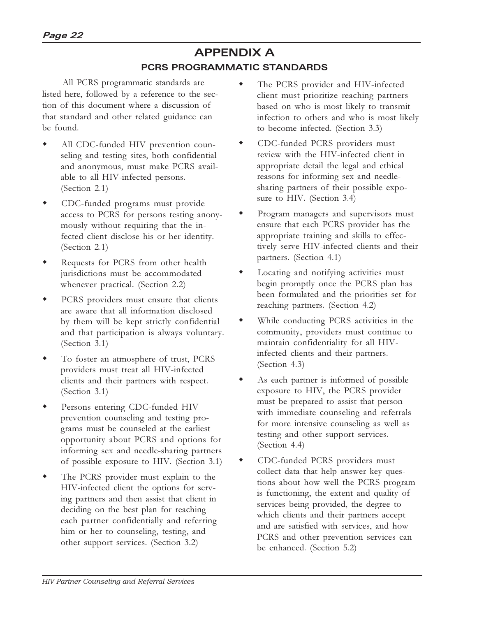## **APPENDIX A PCRS PROGRAMMATIC STANDARDS**

 All PCRS programmatic standards are listed here, followed by a reference to the section of this document where a discussion of that standard and other related guidance can be found.

- All CDC-funded HIV prevention counseling and testing sites, both confidential and anonymous, must make PCRS available to all HIV-infected persons. (Section 2.1)
- CDC-funded programs must provide access to PCRS for persons testing anonymously without requiring that the infected client disclose his or her identity. (Section 2.1)
- Requests for PCRS from other health jurisdictions must be accommodated whenever practical. (Section 2.2)
- PCRS providers must ensure that clients are aware that all information disclosed by them will be kept strictly confidential and that participation is always voluntary. (Section 3.1)
- To foster an atmosphere of trust, PCRS providers must treat all HIV-infected clients and their partners with respect. (Section 3.1)
- Persons entering CDC-funded HIV prevention counseling and testing programs must be counseled at the earliest opportunity about PCRS and options for informing sex and needle-sharing partners of possible exposure to HIV. (Section 3.1)
- The PCRS provider must explain to the HIV-infected client the options for serving partners and then assist that client in deciding on the best plan for reaching each partner confidentially and referring him or her to counseling, testing, and other support services. (Section 3.2)
- The PCRS provider and HIV-infected client must prioritize reaching partners based on who is most likely to transmit infection to others and who is most likely to become infected. (Section 3.3)
- CDC-funded PCRS providers must review with the HIV-infected client in appropriate detail the legal and ethical reasons for informing sex and needlesharing partners of their possible exposure to HIV. (Section 3.4)
- Program managers and supervisors must ensure that each PCRS provider has the appropriate training and skills to effectively serve HIV-infected clients and their partners. (Section 4.1)
- Locating and notifying activities must begin promptly once the PCRS plan has been formulated and the priorities set for reaching partners. (Section 4.2)
- While conducting PCRS activities in the community, providers must continue to maintain confidentiality for all HIVinfected clients and their partners. (Section 4.3)
- As each partner is informed of possible exposure to HIV, the PCRS provider must be prepared to assist that person with immediate counseling and referrals for more intensive counseling as well as testing and other support services. (Section 4.4)
- CDC-funded PCRS providers must collect data that help answer key questions about how well the PCRS program is functioning, the extent and quality of services being provided, the degree to which clients and their partners accept and are satisfied with services, and how PCRS and other prevention services can be enhanced. (Section 5.2)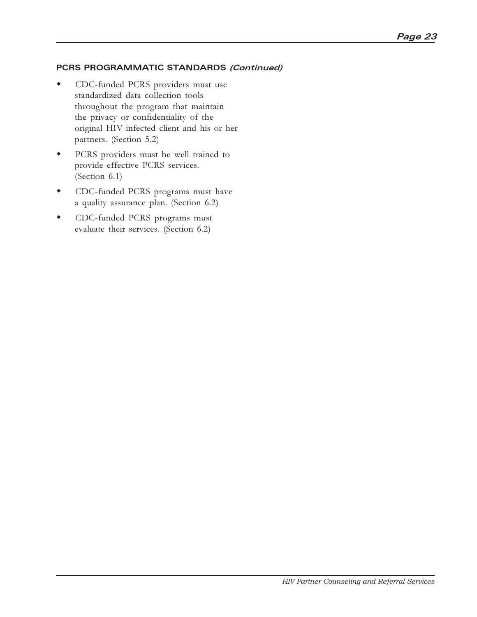#### **PCRS PROGRAMMATIC STANDARDS (Continued)**

- CDC-funded PCRS providers must use standardized data collection tools throughout the program that maintain the privacy or confidentiality of the original HIV-infected client and his or her partners. (Section 5.2)
- w PCRS providers must be well trained to provide effective PCRS services. (Section 6.1)
- **\*** CDC-funded PCRS programs must have a quality assurance plan. (Section 6.2)
- CDC-funded PCRS programs must evaluate their services. (Section 6.2)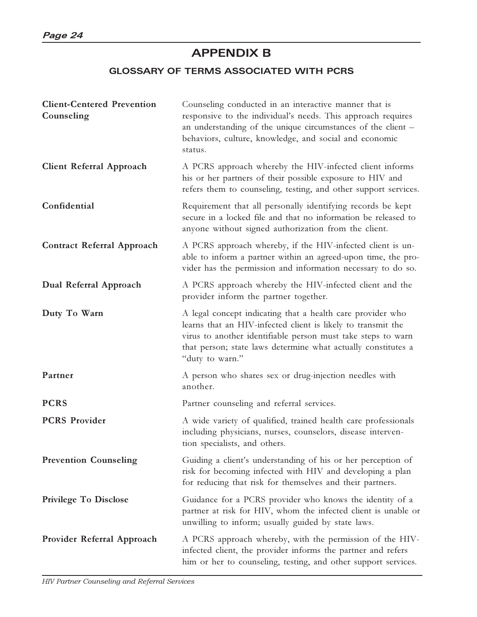## **APPENDIX B**

#### **GLOSSARY OF TERMS ASSOCIATED WITH PCRS**

| <b>Client-Centered Prevention</b><br>Counseling | Counseling conducted in an interactive manner that is<br>responsive to the individual's needs. This approach requires<br>an understanding of the unique circumstances of the client -<br>behaviors, culture, knowledge, and social and economic<br>status.                     |
|-------------------------------------------------|--------------------------------------------------------------------------------------------------------------------------------------------------------------------------------------------------------------------------------------------------------------------------------|
| <b>Client Referral Approach</b>                 | A PCRS approach whereby the HIV-infected client informs<br>his or her partners of their possible exposure to HIV and<br>refers them to counseling, testing, and other support services.                                                                                        |
| Confidential                                    | Requirement that all personally identifying records be kept<br>secure in a locked file and that no information be released to<br>anyone without signed authorization from the client.                                                                                          |
| <b>Contract Referral Approach</b>               | A PCRS approach whereby, if the HIV-infected client is un-<br>able to inform a partner within an agreed-upon time, the pro-<br>vider has the permission and information necessary to do so.                                                                                    |
| Dual Referral Approach                          | A PCRS approach whereby the HIV-infected client and the<br>provider inform the partner together.                                                                                                                                                                               |
| Duty To Warn                                    | A legal concept indicating that a health care provider who<br>learns that an HIV-infected client is likely to transmit the<br>virus to another identifiable person must take steps to warn<br>that person; state laws determine what actually constitutes a<br>"duty to warn." |
| Partner                                         | A person who shares sex or drug-injection needles with<br>another.                                                                                                                                                                                                             |
| <b>PCRS</b>                                     | Partner counseling and referral services.                                                                                                                                                                                                                                      |
| <b>PCRS Provider</b>                            | A wide variety of qualified, trained health care professionals<br>including physicians, nurses, counselors, disease interven-<br>tion specialists, and others.                                                                                                                 |
| <b>Prevention Counseling</b>                    | Guiding a client's understanding of his or her perception of<br>risk for becoming infected with HIV and developing a plan<br>for reducing that risk for themselves and their partners.                                                                                         |
| <b>Privilege To Disclose</b>                    | Guidance for a PCRS provider who knows the identity of a<br>partner at risk for HIV, whom the infected client is unable or<br>unwilling to inform; usually guided by state laws.                                                                                               |
| <b>Provider Referral Approach</b>               | A PCRS approach whereby, with the permission of the HIV-<br>infected client, the provider informs the partner and refers<br>him or her to counseling, testing, and other support services.                                                                                     |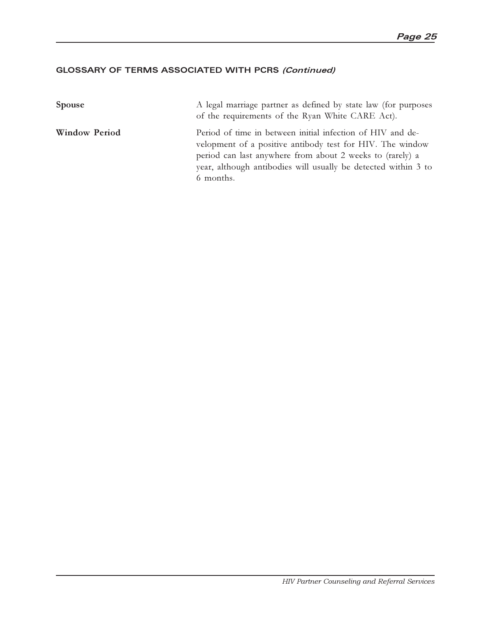#### **GLOSSARY OF TERMS ASSOCIATED WITH PCRS (Continued)**

| <b>Spouse</b>        | A legal marriage partner as defined by state law (for purposes<br>of the requirements of the Ryan White CARE Act).                                                                                                                                                  |
|----------------------|---------------------------------------------------------------------------------------------------------------------------------------------------------------------------------------------------------------------------------------------------------------------|
| <b>Window Period</b> | Period of time in between initial infection of HIV and de-<br>velopment of a positive antibody test for HIV. The window<br>period can last anywhere from about 2 weeks to (rarely) a<br>year, although antibodies will usually be detected within 3 to<br>6 months. |